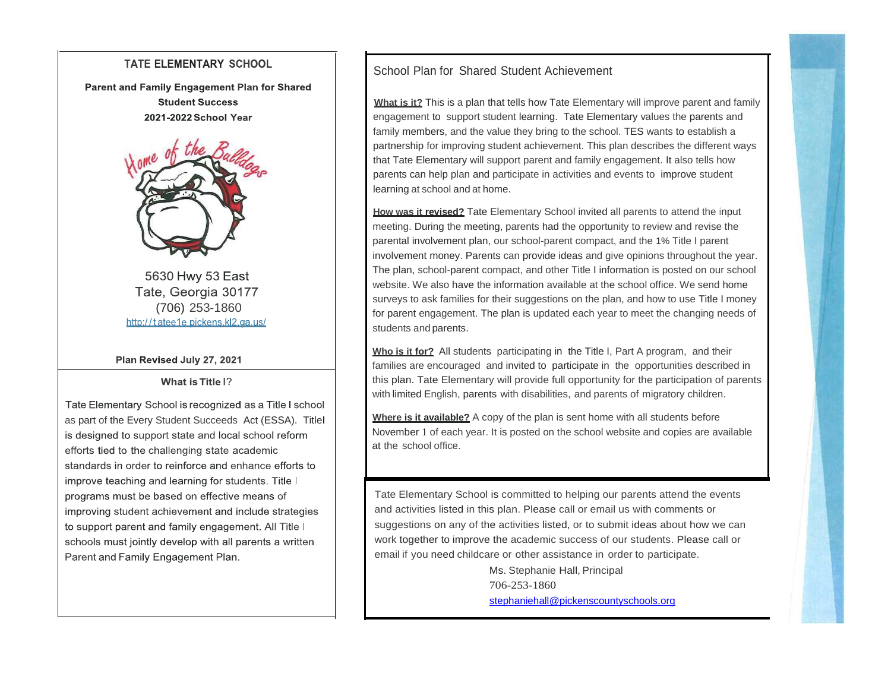#### **TATE ELEMENTARY SCHOOL**

Parent and Family Engagement Plan for Shared **Student Success** 2021-2022 School Year



5630 Hwy 53 East Tate, Georgia 30177 (706) 253-1860http://tatee1e.pickens.kl2.ga.us/

Plan Revised July 27, 2021

What is Title |?

Tate Elementary School is recognized as a Title I school as part of the Every Student Succeeds Act (ESSA). Title is designed to support state and local school reform efforts tied to the challenging state academic standards in order to reinforce and enhance efforts to improve teaching and learning for students. Title I programs must be based on effective means of improving student achievement and include strategies to support parent and family engagement. All Title I schools must jointly develop with all parents a written Parent and Family Engagement Plan.

## School Plan for Shared Student Achievement

**What is it?** This is a plan that tells how Tate Elementary will improve parent and family engagement to support student learning. Tate Elementary values the parents and family members, and the value they bring to the school. TES wants to establish a partnership for improving student achievement. This plan describes the different ways that Tate Elementary will support parent and family engagement. It also tells how parents can help plan and participate in activities and events to improve student learning at school and at home.

**How was it revised?** Tate Elementary School invited all parents to attend the input meeting. During the meeting, parents had the opportunity to review and revise the parental involvement plan, our school-parent compact, and the 1% Title I parent involvement money. Parents can provide ideas and give opinions throughout the year. The plan, school-parent compact, and other Title I information is posted on our school website. We also have the information available at the school office. We send home surveys to ask families for their suggestions on the plan, and how to use Title I money for parent engagement. The plan is updated each year to meet the changing needs of students and parents.

**Who is it for?** All students participating in the Title I, Part A program, and their families are encouraged and invited to participate in the opportunities described in this plan. Tate Elementary will provide full opportunity for the participation of parents with limited English, parents with disabilities, and parents of migratory children.

**Where is it available?** A copy of the plan is sent home with all students before November 1 of each year. It is posted on the school website and copies are available at the school office.

Tate Elementary School is committed to helping our parents attend the events and activities listed in this plan. Please call or email us with comments or suggestions on any of the activities listed, or to submit ideas about how we can work together to improve the academic success of our students. Please call or email if you need childcare or other assistance in order to participate.

> Ms. Stephanie Hall, Principal 706-253-1860 [stephaniehall@pickenscountyschools.org](mailto:stephaniehall@pickenscountyschools.org)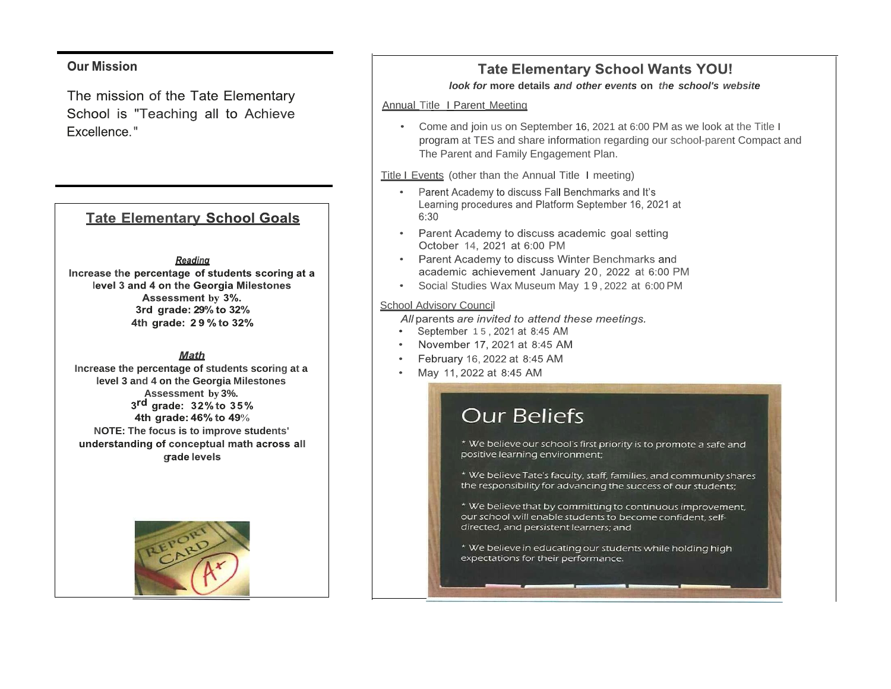### **Our Mission**

The mission of the Tate Elementary School is "Teaching all to Achieve Excellence."

## **Tate Elementary School Goals**

#### Reading

Increase the percentage of students scoring at a level 3 and 4 on the Georgia Milestones Assessment by 3%. 3rd grade: 29% to 32% 4th grade: 29% to 32%

**Math** 

**Increase the percentage of students scoring at a level 3 and 4 on the Georgia Milestones Assessment by 3%.**  $3<sup>rd</sup>$  grade:  $32%$  to  $35%$ 4th grade: 46% to 49% **NOTE: The focus is to improve students'** understanding of conceptual math across all grade levels



## **Tate Elementary School Wants YOU!**

#### *look for* **more details** *and other events* **on** *the school's website*

#### Annual Title I Parent Meeting

Come and join us on September 16, 2021 at 6:00 PM as we look at the Title I program at TES and share information regarding our school-parent Compact and The Parent and Family Engagement Plan.

Title I Events (other than the Annual Title I meeting)

- Parent Academy to discuss Fall Benchmarks and It's Learning procedures and Platform September 16, 2021 at  $6:30$
- Parent Academy to discuss academic goal setting October 14, 2021 at 6:00 PM
- Parent Academy to discuss Winter Benchmarks and academic achievement January 20, 2022 at 6:00 PM
- Social Studies Wax Museum May 1 9 , 2022 at 6:00 PM

#### School Advisory Council

All parents are invited to attend these meetings.

- September 15, 2021 at 8:45 AM
- $\bullet$ November 17, 2021 at 8:45 AM
- February 16, 2022 at 8:45 AM
- May 11, 2022 at 8:45 AM

# **Our Beliefs**

\* We believe our school's first priority is to promote a safe and positive learning environment;

\* We believe Tate's faculty, staff, families, and community shares the responsibility for advancing the success of our students;

\* We believe that by committing to continuous improvement, our school will enable students to become confident, selfdirected, and persistent learners; and

\* We believe in educating our students while holding high expectations for their performance.